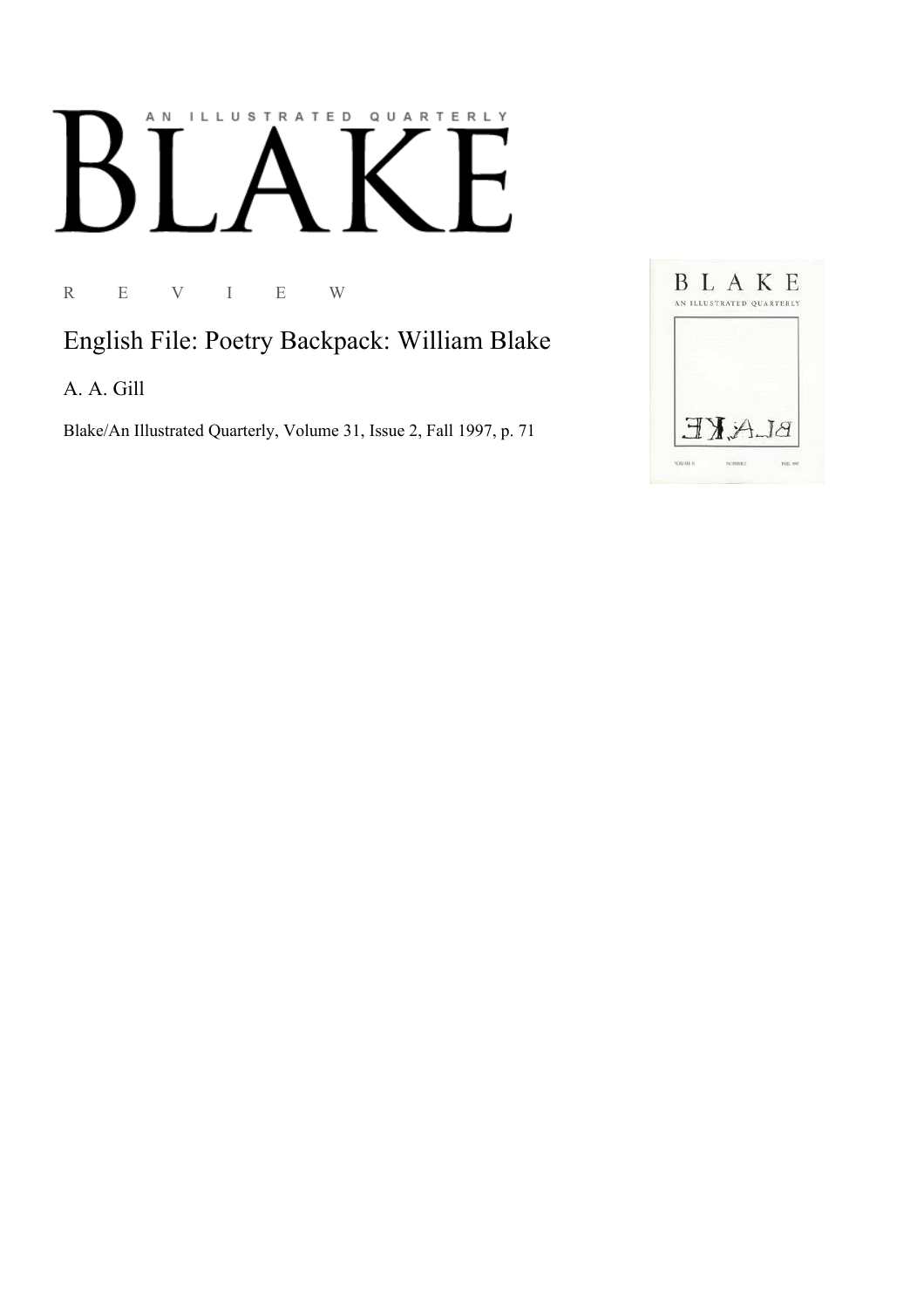## AN ILLUSTRATED QUARTERLY

R E V I E W

## English File: Poetry Backpack: William Blake

A. A. Gill

Blake/An Illustrated Quarterly, Volume 31, Issue 2, Fall 1997, p. 71